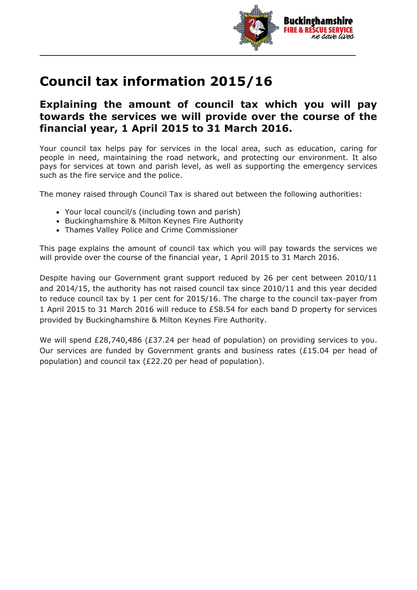

## **Council tax information 2015/16**

## **Explaining the amount of council tax which you will pay towards the services we will provide over the course of the financial year, 1 April 2015 to 31 March 2016.**

Your council tax helps pay for services in the local area, such as education, caring for people in need, maintaining the road network, and protecting our environment. It also pays for services at town and parish level, as well as supporting the emergency services such as the fire service and the police.

The money raised through Council Tax is shared out between the following authorities:

- Your local council/s (including town and parish)
- Buckinghamshire & Milton Keynes Fire Authority
- Thames Valley Police and Crime Commissioner

This page explains the amount of council tax which you will pay towards the services we will provide over the course of the financial year, 1 April 2015 to 31 March 2016.

Despite having our Government grant support reduced by 26 per cent between 2010/11 and 2014/15, the authority has not raised council tax since 2010/11 and this year decided to reduce council tax by 1 per cent for 2015/16. The charge to the council tax-payer from 1 April 2015 to 31 March 2016 will reduce to £58.54 for each band D property for services provided by Buckinghamshire & Milton Keynes Fire Authority.

We will spend £28,740,486 (£37.24 per head of population) on providing services to you. Our services are funded by Government grants and business rates (£15.04 per head of population) and council tax (£22.20 per head of population).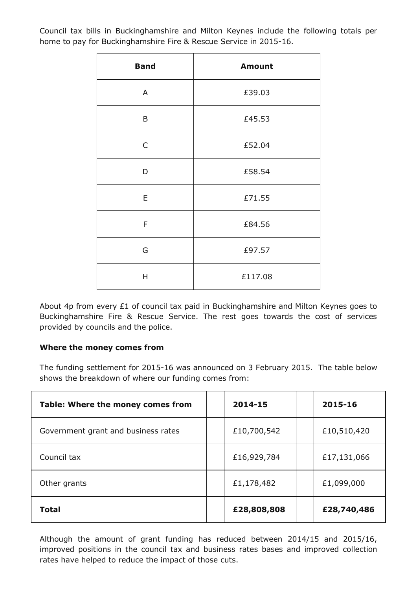Council tax bills in Buckinghamshire and Milton Keynes include the following totals per home to pay for Buckinghamshire Fire & Rescue Service in 2015-16.

 $\overline{\phantom{a}}$ 

| <b>Band</b> | <b>Amount</b> |  |  |  |
|-------------|---------------|--|--|--|
| A           | £39.03        |  |  |  |
| B           | £45.53        |  |  |  |
| C           | £52.04        |  |  |  |
| D           | £58.54        |  |  |  |
| E           | £71.55        |  |  |  |
| F           | £84.56        |  |  |  |
| G           | £97.57        |  |  |  |
| Η           | £117.08       |  |  |  |

About 4p from every £1 of council tax paid in Buckinghamshire and Milton Keynes goes to Buckinghamshire Fire & Rescue Service. The rest goes towards the cost of services provided by councils and the police.

## **Where the money comes from**

The funding settlement for 2015-16 was announced on 3 February 2015. The table below shows the breakdown of where our funding comes from:

| Table: Where the money comes from   | 2014-15     | 2015-16     |
|-------------------------------------|-------------|-------------|
| Government grant and business rates | £10,700,542 | £10,510,420 |
| Council tax                         | £16,929,784 | £17,131,066 |
| Other grants                        | £1,178,482  | £1,099,000  |
| <b>Total</b>                        | £28,808,808 | £28,740,486 |

Although the amount of grant funding has reduced between 2014/15 and 2015/16, improved positions in the council tax and business rates bases and improved collection rates have helped to reduce the impact of those cuts.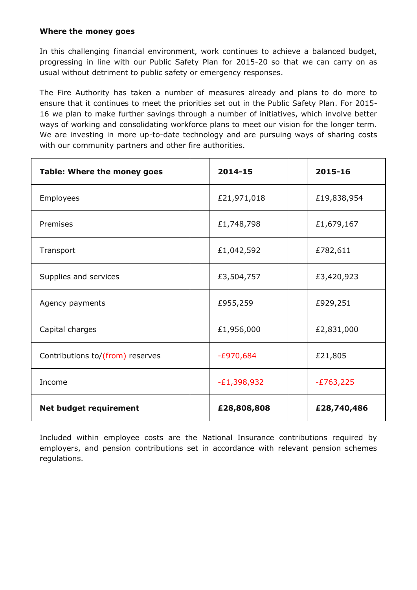## **Where the money goes**

In this challenging financial environment, work continues to achieve a balanced budget, progressing in line with our Public Safety Plan for 2015-20 so that we can carry on as usual without detriment to public safety or emergency responses.

The Fire Authority has taken a number of measures already and plans to do more to ensure that it continues to meet the priorities set out in the Public Safety Plan. For 2015- 16 we plan to make further savings through a number of initiatives, which involve better ways of working and consolidating workforce plans to meet our vision for the longer term. We are investing in more up-to-date technology and are pursuing ways of sharing costs with our community partners and other fire authorities.

| Table: Where the money goes      | 2014-15       | 2015-16     |
|----------------------------------|---------------|-------------|
| Employees                        | £21,971,018   | £19,838,954 |
| Premises                         | £1,748,798    | £1,679,167  |
| Transport                        | £1,042,592    | £782,611    |
| Supplies and services            | £3,504,757    | £3,420,923  |
| Agency payments                  | £955,259      | £929,251    |
| Capital charges                  | £1,956,000    | £2,831,000  |
| Contributions to/(from) reserves | $-E970,684$   | £21,805     |
| Income                           | $-E1,398,932$ | $-E763,225$ |
| <b>Net budget requirement</b>    | £28,808,808   | £28,740,486 |

Included within employee costs are the National Insurance contributions required by employers, and pension contributions set in accordance with relevant pension schemes regulations.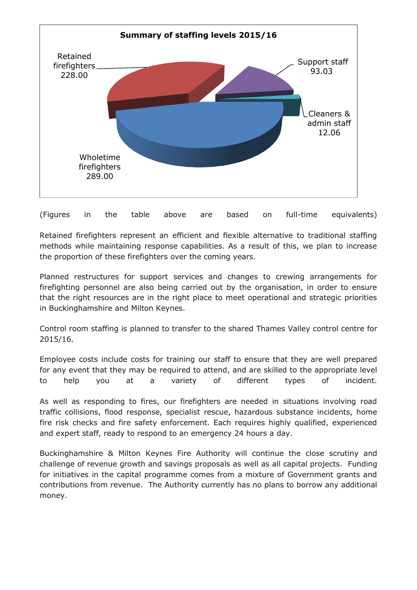

(Figures in the table above are based on full-time equivalents)

Retained firefighters represent an efficient and flexible alternative to traditional staffing methods while maintaining response capabilities. As a result of this, we plan to increase the proportion of these firefighters over the coming years.

Planned restructures for support services and changes to crewing arrangements for firefighting personnel are also being carried out by the organisation, in order to ensure that the right resources are in the right place to meet operational and strategic priorities in Buckinghamshire and Milton Keynes.

Control room staffing is planned to transfer to the shared Thames Valley control centre for 2015/16.

Employee costs include costs for training our staff to ensure that they are well prepared for any event that they may be required to attend, and are skilled to the appropriate level to help you at a variety of different types of incident.

As well as responding to fires, our firefighters are needed in situations involving road traffic collisions, flood response, specialist rescue, hazardous substance incidents, home fire risk checks and fire safety enforcement. Each requires highly qualified, experienced and expert staff, ready to respond to an emergency 24 hours a day.

Buckinghamshire & Milton Keynes Fire Authority will continue the close scrutiny and challenge of revenue growth and savings proposals as well as all capital projects. Funding for initiatives in the capital programme comes from a mixture of Government grants and contributions from revenue. The Authority currently has no plans to borrow any additional money.